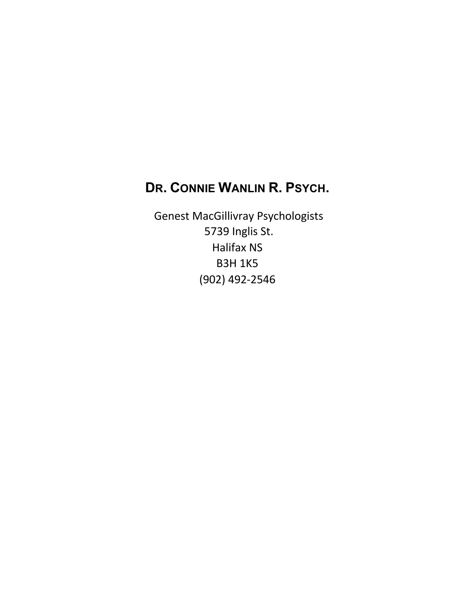# **DR. CONNIE WANLIN R. PSYCH.**

Genest MacGillivray Psychologists 5739 Inglis St. Halifax NS B3H 1K5 (902) 492-2546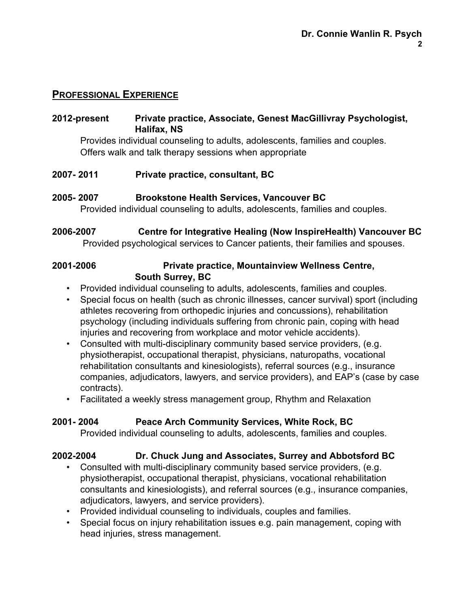## **PROFESSIONAL EXPERIENCE**

#### **2012-present Private practice, Associate, Genest MacGillivray Psychologist, Halifax, NS**

Provides individual counseling to adults, adolescents, families and couples. Offers walk and talk therapy sessions when appropriate

**2007- 2011 Private practice, consultant, BC**

#### **2005- 2007 Brookstone Health Services, Vancouver BC**

Provided individual counseling to adults, adolescents, families and couples.

# **2006-2007 Centre for Integrative Healing (Now InspireHealth) Vancouver BC**

Provided psychological services to Cancer patients, their families and spouses.

## **2001-2006 Private practice, Mountainview Wellness Centre, South Surrey, BC**

- Provided individual counseling to adults, adolescents, families and couples.
- Special focus on health (such as chronic illnesses, cancer survival) sport (including athletes recovering from orthopedic injuries and concussions), rehabilitation psychology (including individuals suffering from chronic pain, coping with head injuries and recovering from workplace and motor vehicle accidents).
- Consulted with multi-disciplinary community based service providers, (e.g. physiotherapist, occupational therapist, physicians, naturopaths, vocational rehabilitation consultants and kinesiologists), referral sources (e.g., insurance companies, adjudicators, lawyers, and service providers), and EAP's (case by case contracts).

• Facilitated a weekly stress management group, Rhythm and Relaxation

#### **2001- 2004 Peace Arch Community Services, White Rock, BC**

Provided individual counseling to adults, adolescents, families and couples.

#### **2002-2004 Dr. Chuck Jung and Associates, Surrey and Abbotsford BC**

- Consulted with multi-disciplinary community based service providers, (e.g. physiotherapist, occupational therapist, physicians, vocational rehabilitation consultants and kinesiologists), and referral sources (e.g., insurance companies, adjudicators, lawyers, and service providers).
- Provided individual counseling to individuals, couples and families.
- Special focus on injury rehabilitation issues e.g. pain management, coping with head injuries, stress management.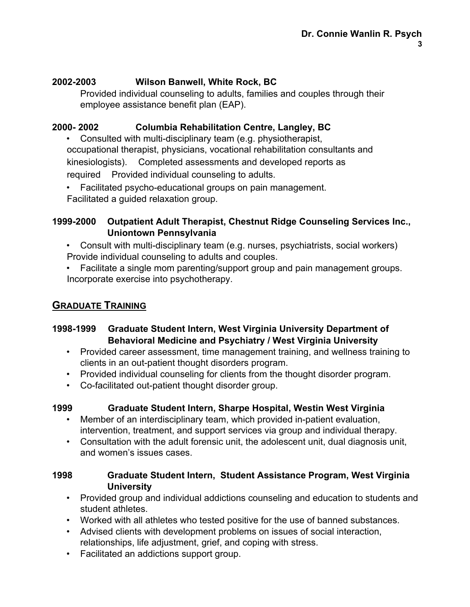## **2002-2003 Wilson Banwell, White Rock, BC**

Provided individual counseling to adults, families and couples through their employee assistance benefit plan (EAP).

# **2000- 2002 Columbia Rehabilitation Centre, Langley, BC**

• Consulted with multi-disciplinary team (e.g. physiotherapist, occupational therapist, physicians, vocational rehabilitation consultants and kinesiologists). Completed assessments and developed reports as required Provided individual counseling to adults.

- Facilitated psycho-educational groups on pain management.
- Facilitated a guided relaxation group.

# **1999-2000 Outpatient Adult Therapist, Chestnut Ridge Counseling Services Inc., Uniontown Pennsylvania**

- Consult with multi-disciplinary team (e.g. nurses, psychiatrists, social workers) Provide individual counseling to adults and couples.
- Facilitate a single mom parenting/support group and pain management groups. Incorporate exercise into psychotherapy.

# **GRADUATE TRAINING**

## **1998-1999 Graduate Student Intern, West Virginia University Department of Behavioral Medicine and Psychiatry / West Virginia University**

- Provided career assessment, time management training, and wellness training to clients in an out-patient thought disorders program.
- Provided individual counseling for clients from the thought disorder program.
- Co-facilitated out-patient thought disorder group.

## **1999 Graduate Student Intern, Sharpe Hospital, Westin West Virginia**

- Member of an interdisciplinary team, which provided in-patient evaluation, intervention, treatment, and support services via group and individual therapy.
- Consultation with the adult forensic unit, the adolescent unit, dual diagnosis unit, and women's issues cases.

#### **1998 Graduate Student Intern, Student Assistance Program, West Virginia University**

- Provided group and individual addictions counseling and education to students and student athletes.
- Worked with all athletes who tested positive for the use of banned substances.
- Advised clients with development problems on issues of social interaction, relationships, life adjustment, grief, and coping with stress.
- Facilitated an addictions support group.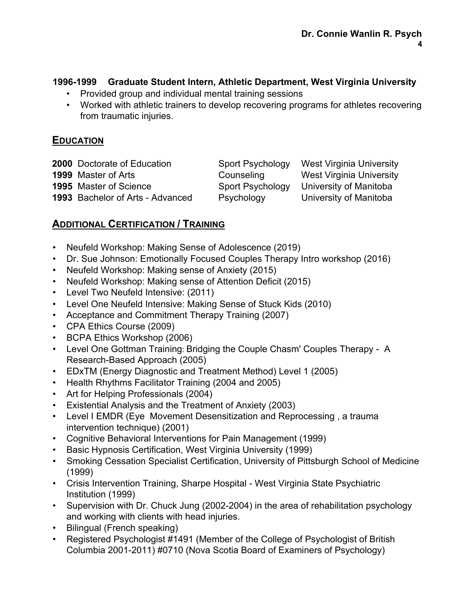## **1996-1999 Graduate Student Intern, Athletic Department, West Virginia University**

- Provided group and individual mental training sessions
- Worked with athletic trainers to develop recovering programs for athletes recovering from traumatic injuries.

#### **EDUCATION**

| <b>2000</b> Doctorate of Education | Sport Psychology | <b>West Virginia University</b> |
|------------------------------------|------------------|---------------------------------|
| 1999 Master of Arts                | Counseling       | <b>West Virginia University</b> |
| <b>1995</b> Master of Science      | Sport Psychology | University of Manitoba          |
| 1993 Bachelor of Arts - Advanced   | Psychology       | University of Manitoba          |

# **ADDITIONAL CERTIFICATION / TRAINING**

- Neufeld Workshop: Making Sense of Adolescence (2019)
- Dr. Sue Johnson: Emotionally Focused Couples Therapy Intro workshop (2016)
- Neufeld Workshop: Making sense of Anxiety (2015)
- Neufeld Workshop: Making sense of Attention Deficit (2015)
- Level Two Neufeld Intensive: (2011)
- Level One Neufeld Intensive: Making Sense of Stuck Kids (2010)
- Acceptance and Commitment Therapy Training (2007)
- CPA Ethics Course (2009)
- BCPA Ethics Workshop (2006)
- Level One Gottman Training: Bridging the Couple Chasm' Couples Therapy A Research-Based Approach (2005)
- EDxTM (Energy Diagnostic and Treatment Method) Level 1 (2005)
- Health Rhythms Facilitator Training (2004 and 2005)
- Art for Helping Professionals (2004)
- Existential Analysis and the Treatment of Anxiety (2003)
- Level I EMDR (Eye Movement Desensitization and Reprocessing , a trauma intervention technique) (2001)
- Cognitive Behavioral Interventions for Pain Management (1999)
- Basic Hypnosis Certification, West Virginia University (1999)
- Smoking Cessation Specialist Certification, University of Pittsburgh School of Medicine (1999)
- Crisis Intervention Training, Sharpe Hospital West Virginia State Psychiatric Institution (1999)
- Supervision with Dr. Chuck Jung (2002-2004) in the area of rehabilitation psychology and working with clients with head injuries.
- Bilingual (French speaking)
- Registered Psychologist #1491 (Member of the College of Psychologist of British Columbia 2001-2011) #0710 (Nova Scotia Board of Examiners of Psychology)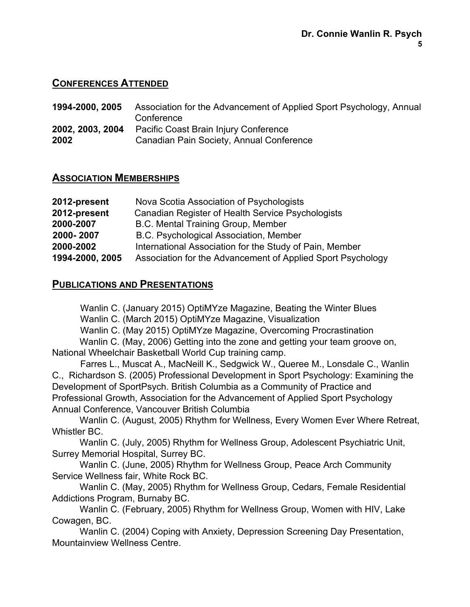## **CONFERENCES ATTENDED**

**1994-2000, 2005** Association for the Advancement of Applied Sport Psychology, Annual **Conference 2002, 2003, 2004** Pacific Coast Brain Injury Conference **2002** Canadian Pain Society, Annual Conference

## **ASSOCIATION MEMBERSHIPS**

| 2012-present    | Nova Scotia Association of Psychologists                    |
|-----------------|-------------------------------------------------------------|
| 2012-present    | Canadian Register of Health Service Psychologists           |
| 2000-2007       | B.C. Mental Training Group, Member                          |
| 2000-2007       | B.C. Psychological Association, Member                      |
| 2000-2002       | International Association for the Study of Pain, Member     |
| 1994-2000, 2005 | Association for the Advancement of Applied Sport Psychology |

## **PUBLICATIONS AND PRESENTATIONS**

Wanlin C. (January 2015) OptiMYze Magazine, Beating the Winter Blues

Wanlin C. (March 2015) OptiMYze Magazine, Visualization

Wanlin C. (May 2015) OptiMYze Magazine, Overcoming Procrastination

Wanlin C. (May, 2006) Getting into the zone and getting your team groove on, National Wheelchair Basketball World Cup training camp.

Farres L., Muscat A., MacNeill K., Sedgwick W., Queree M., Lonsdale C., Wanlin C., Richardson S. (2005) Professional Development in Sport Psychology: Examining the Development of SportPsych. British Columbia as a Community of Practice and Professional Growth, Association for the Advancement of Applied Sport Psychology Annual Conference, Vancouver British Columbia

Wanlin C. (August, 2005) Rhythm for Wellness, Every Women Ever Where Retreat, Whistler BC.

Wanlin C. (July, 2005) Rhythm for Wellness Group, Adolescent Psychiatric Unit, Surrey Memorial Hospital, Surrey BC.

Wanlin C. (June, 2005) Rhythm for Wellness Group, Peace Arch Community Service Wellness fair, White Rock BC.

Wanlin C. (May, 2005) Rhythm for Wellness Group, Cedars, Female Residential Addictions Program, Burnaby BC.

Wanlin C. (February, 2005) Rhythm for Wellness Group, Women with HIV, Lake Cowagen, BC.

Wanlin C. (2004) Coping with Anxiety, Depression Screening Day Presentation, Mountainview Wellness Centre.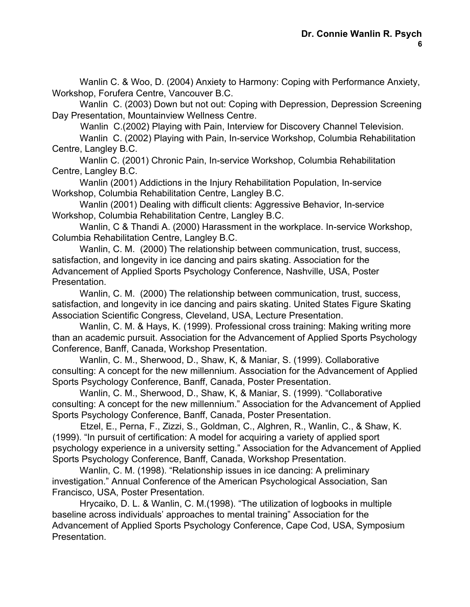Wanlin C. & Woo, D. (2004) Anxiety to Harmony: Coping with Performance Anxiety, Workshop, Forufera Centre, Vancouver B.C.

Wanlin C. (2003) Down but not out: Coping with Depression, Depression Screening Day Presentation, Mountainview Wellness Centre.

Wanlin C.(2002) Playing with Pain, Interview for Discovery Channel Television.

Wanlin C. (2002) Playing with Pain, In-service Workshop, Columbia Rehabilitation Centre, Langley B.C.

Wanlin C. (2001) Chronic Pain, In-service Workshop, Columbia Rehabilitation Centre, Langley B.C.

Wanlin (2001) Addictions in the Injury Rehabilitation Population, In-service Workshop, Columbia Rehabilitation Centre, Langley B.C.

Wanlin (2001) Dealing with difficult clients: Aggressive Behavior, In-service Workshop, Columbia Rehabilitation Centre, Langley B.C.

Wanlin, C & Thandi A. (2000) Harassment in the workplace. In-service Workshop, Columbia Rehabilitation Centre, Langley B.C.

Wanlin, C. M. (2000) The relationship between communication, trust, success, satisfaction, and longevity in ice dancing and pairs skating. Association for the Advancement of Applied Sports Psychology Conference, Nashville, USA, Poster Presentation.

Wanlin, C. M. (2000) The relationship between communication, trust, success, satisfaction, and longevity in ice dancing and pairs skating. United States Figure Skating Association Scientific Congress, Cleveland, USA, Lecture Presentation.

Wanlin, C. M. & Hays, K. (1999). Professional cross training: Making writing more than an academic pursuit. Association for the Advancement of Applied Sports Psychology Conference, Banff, Canada, Workshop Presentation.

Wanlin, C. M., Sherwood, D., Shaw, K, & Maniar, S. (1999). Collaborative consulting: A concept for the new millennium. Association for the Advancement of Applied Sports Psychology Conference, Banff, Canada, Poster Presentation.

Wanlin, C. M., Sherwood, D., Shaw, K, & Maniar, S. (1999). "Collaborative consulting: A concept for the new millennium." Association for the Advancement of Applied Sports Psychology Conference, Banff, Canada, Poster Presentation.

Etzel, E., Perna, F., Zizzi, S., Goldman, C., Alghren, R., Wanlin, C., & Shaw, K. (1999). "In pursuit of certification: A model for acquiring a variety of applied sport psychology experience in a university setting." Association for the Advancement of Applied Sports Psychology Conference, Banff, Canada, Workshop Presentation.

Wanlin, C. M. (1998). "Relationship issues in ice dancing: A preliminary investigation." Annual Conference of the American Psychological Association, San Francisco, USA, Poster Presentation.

Hrycaiko, D. L. & Wanlin, C. M.(1998). "The utilization of logbooks in multiple baseline across individuals' approaches to mental training" Association for the Advancement of Applied Sports Psychology Conference, Cape Cod, USA, Symposium Presentation.